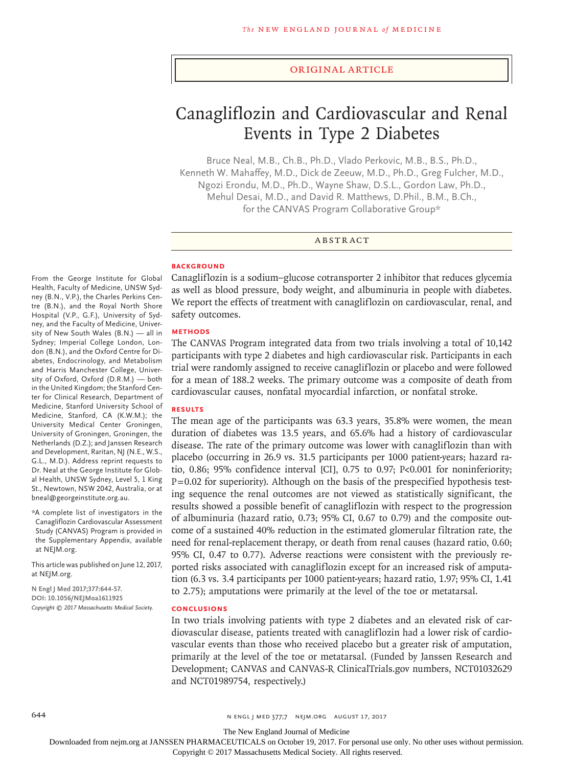#### Original Article

# Canagliflozin and Cardiovascular and Renal Events in Type 2 Diabetes

Bruce Neal, M.B., Ch.B., Ph.D., Vlado Perkovic, M.B., B.S., Ph.D., Kenneth W. Mahaffey, M.D., Dick de Zeeuw, M.D., Ph.D., Greg Fulcher, M.D., Ngozi Erondu, M.D., Ph.D., Wayne Shaw, D.S.L., Gordon Law, Ph.D., Mehul Desai, M.D., and David R. Matthews, D.Phil., B.M., B.Ch., for the CANVAS Program Collaborative Group\*

#### ABSTRACT

#### **BACKGROUND**

From the George Institute for Global Health, Faculty of Medicine, UNSW Sydney (B.N., V.P.), the Charles Perkins Centre (B.N.), and the Royal North Shore Hospital (V.P., G.F.), University of Sydney, and the Faculty of Medicine, University of New South Wales (B.N.) — all in Sydney; Imperial College London, London (B.N.), and the Oxford Centre for Diabetes, Endocrinology, and Metabolism and Harris Manchester College, University of Oxford, Oxford (D.R.M.) — both in the United Kingdom; the Stanford Center for Clinical Research, Department of Medicine, Stanford University School of Medicine, Stanford, CA (K.W.M.); the University Medical Center Groningen, University of Groningen, Groningen, the Netherlands (D.Z.); and Janssen Research and Development, Raritan, NJ (N.E., W.S., G.L., M.D.). Address reprint requests to Dr. Neal at the George Institute for Global Health, UNSW Sydney, Level 5, 1 King St., Newtown, NSW 2042, Australia, or at bneal@georgeinstitute.org.au.

\*A complete list of investigators in the Canagliflozin Cardiovascular Assessment Study (CANVAS) Program is provided in the Supplementary Appendix, available at NEJM.org.

This article was published on June 12, 2017, at NEJM.org.

**N Engl J Med 2017;377:644-57. DOI: 10.1056/NEJMoa1611925** *Copyright © 2017 Massachusetts Medical Society.* Canagliflozin is a sodium–glucose cotransporter 2 inhibitor that reduces glycemia as well as blood pressure, body weight, and albuminuria in people with diabetes. We report the effects of treatment with canagliflozin on cardiovascular, renal, and safety outcomes.

#### **METHODS**

The CANVAS Program integrated data from two trials involving a total of 10,142 participants with type 2 diabetes and high cardiovascular risk. Participants in each trial were randomly assigned to receive canagliflozin or placebo and were followed for a mean of 188.2 weeks. The primary outcome was a composite of death from cardiovascular causes, nonfatal myocardial infarction, or nonfatal stroke.

#### **RESULTS**

The mean age of the participants was 63.3 years, 35.8% were women, the mean duration of diabetes was 13.5 years, and 65.6% had a history of cardiovascular disease. The rate of the primary outcome was lower with canagliflozin than with placebo (occurring in 26.9 vs. 31.5 participants per 1000 patient-years; hazard ratio, 0.86; 95% confidence interval [CI], 0.75 to 0.97; P<0.001 for noninferiority;  $P=0.02$  for superiority). Although on the basis of the prespecified hypothesis testing sequence the renal outcomes are not viewed as statistically significant, the results showed a possible benefit of canagliflozin with respect to the progression of albuminuria (hazard ratio, 0.73; 95% CI, 0.67 to 0.79) and the composite outcome of a sustained 40% reduction in the estimated glomerular filtration rate, the need for renal-replacement therapy, or death from renal causes (hazard ratio, 0.60; 95% CI, 0.47 to 0.77). Adverse reactions were consistent with the previously reported risks associated with canagliflozin except for an increased risk of amputation (6.3 vs. 3.4 participants per 1000 patient-years; hazard ratio, 1.97; 95% CI, 1.41 to 2.75); amputations were primarily at the level of the toe or metatarsal.

#### **CONCLUSIONS**

In two trials involving patients with type 2 diabetes and an elevated risk of cardiovascular disease, patients treated with canagliflozin had a lower risk of cardiovascular events than those who received placebo but a greater risk of amputation, primarily at the level of the toe or metatarsal. (Funded by Janssen Research and Development; CANVAS and CANVAS-R ClinicalTrials.gov numbers, NCT01032629 and NCT01989754, respectively.)

644 **644 n engl j med 377;7 NEIM.ORG AUGUST 17, 2017** 

The New England Journal of Medicine

Downloaded from nejm.org at JANSSEN PHARMACEUTICALS on October 19, 2017. For personal use only. No other uses without permission.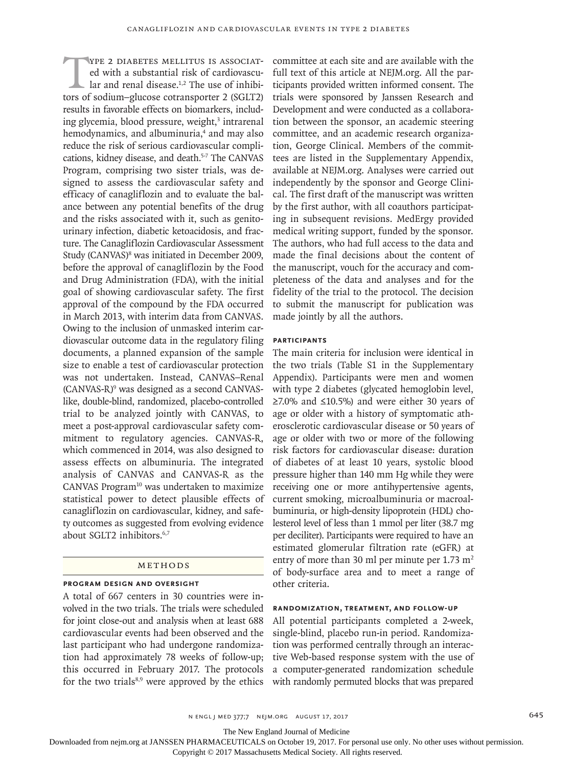THE 2 DIABETES MELLITUS IS ASSOCIATED with a substantial risk of cardiovascular and renal disease.<sup>1,2</sup> The use of inhibitors of sodium-plucose cotransporter 2 (SGLT2) ed with a substantial risk of cardiovascular and renal disease.<sup>1,2</sup> The use of inhibitors of sodium–glucose cotransporter 2 (SGLT2) results in favorable effects on biomarkers, including glycemia, blood pressure, weight,<sup>3</sup> intrarenal hemodynamics, and albuminuria,<sup>4</sup> and may also reduce the risk of serious cardiovascular complications, kidney disease, and death.<sup>5-7</sup> The CANVAS Program, comprising two sister trials, was designed to assess the cardiovascular safety and efficacy of canagliflozin and to evaluate the balance between any potential benefits of the drug and the risks associated with it, such as genitourinary infection, diabetic ketoacidosis, and fracture. The Canagliflozin Cardiovascular Assessment Study (CANVAS)<sup>8</sup> was initiated in December 2009, before the approval of canagliflozin by the Food and Drug Administration (FDA), with the initial goal of showing cardiovascular safety. The first approval of the compound by the FDA occurred in March 2013, with interim data from CANVAS. Owing to the inclusion of unmasked interim cardiovascular outcome data in the regulatory filing documents, a planned expansion of the sample size to enable a test of cardiovascular protection was not undertaken. Instead, CANVAS–Renal (CANVAS-R)9 was designed as a second CANVASlike, double-blind, randomized, placebo-controlled trial to be analyzed jointly with CANVAS, to meet a post-approval cardiovascular safety commitment to regulatory agencies. CANVAS-R, which commenced in 2014, was also designed to assess effects on albuminuria. The integrated analysis of CANVAS and CANVAS-R as the CANVAS Program $10$  was undertaken to maximize statistical power to detect plausible effects of canagliflozin on cardiovascular, kidney, and safety outcomes as suggested from evolving evidence about SGLT2 inhibitors.<sup>6,7</sup>

# Methods

# **Program Design and Oversight**

A total of 667 centers in 30 countries were involved in the two trials. The trials were scheduled for joint close-out and analysis when at least 688 cardiovascular events had been observed and the last participant who had undergone randomization had approximately 78 weeks of follow-up; this occurred in February 2017. The protocols for the two trials $8,9$  were approved by the ethics

committee at each site and are available with the full text of this article at NEJM.org. All the participants provided written informed consent. The trials were sponsored by Janssen Research and Development and were conducted as a collaboration between the sponsor, an academic steering committee, and an academic research organization, George Clinical. Members of the committees are listed in the Supplementary Appendix, available at NEJM.org. Analyses were carried out independently by the sponsor and George Clinical. The first draft of the manuscript was written by the first author, with all coauthors participating in subsequent revisions. MedErgy provided medical writing support, funded by the sponsor. The authors, who had full access to the data and made the final decisions about the content of the manuscript, vouch for the accuracy and completeness of the data and analyses and for the fidelity of the trial to the protocol. The decision to submit the manuscript for publication was made jointly by all the authors.

# **Participants**

The main criteria for inclusion were identical in the two trials (Table S1 in the Supplementary Appendix). Participants were men and women with type 2 diabetes (glycated hemoglobin level, ≥7.0% and ≤10.5%) and were either 30 years of age or older with a history of symptomatic atherosclerotic cardiovascular disease or 50 years of age or older with two or more of the following risk factors for cardiovascular disease: duration of diabetes of at least 10 years, systolic blood pressure higher than 140 mm Hg while they were receiving one or more antihypertensive agents, current smoking, microalbuminuria or macroalbuminuria, or high-density lipoprotein (HDL) cholesterol level of less than 1 mmol per liter (38.7 mg per deciliter). Participants were required to have an estimated glomerular filtration rate (eGFR) at entry of more than 30 ml per minute per  $1.73 \text{ m}^2$ of body-surface area and to meet a range of other criteria.

# **Randomization, Treatment, and Follow-up**

All potential participants completed a 2-week, single-blind, placebo run-in period. Randomization was performed centrally through an interactive Web-based response system with the use of a computer-generated randomization schedule with randomly permuted blocks that was prepared

The New England Journal of Medicine

Downloaded from nejm.org at JANSSEN PHARMACEUTICALS on October 19, 2017. For personal use only. No other uses without permission.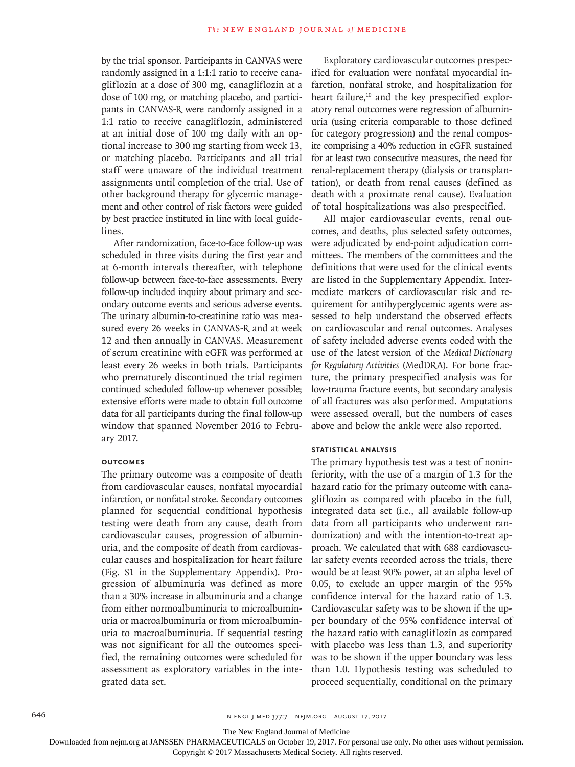by the trial sponsor. Participants in CANVAS were randomly assigned in a 1:1:1 ratio to receive canagliflozin at a dose of 300 mg, canagliflozin at a dose of 100 mg, or matching placebo, and participants in CANVAS-R were randomly assigned in a 1:1 ratio to receive canagliflozin, administered at an initial dose of 100 mg daily with an optional increase to 300 mg starting from week 13, or matching placebo. Participants and all trial staff were unaware of the individual treatment assignments until completion of the trial. Use of other background therapy for glycemic management and other control of risk factors were guided by best practice instituted in line with local guidelines.

After randomization, face-to-face follow-up was scheduled in three visits during the first year and at 6-month intervals thereafter, with telephone follow-up between face-to-face assessments. Every follow-up included inquiry about primary and secondary outcome events and serious adverse events. The urinary albumin-to-creatinine ratio was measured every 26 weeks in CANVAS-R and at week 12 and then annually in CANVAS. Measurement of serum creatinine with eGFR was performed at least every 26 weeks in both trials. Participants who prematurely discontinued the trial regimen continued scheduled follow-up whenever possible; extensive efforts were made to obtain full outcome data for all participants during the final follow-up window that spanned November 2016 to February 2017.

#### **Outcomes**

The primary outcome was a composite of death from cardiovascular causes, nonfatal myocardial infarction, or nonfatal stroke. Secondary outcomes planned for sequential conditional hypothesis testing were death from any cause, death from cardiovascular causes, progression of albuminuria, and the composite of death from cardiovascular causes and hospitalization for heart failure (Fig. S1 in the Supplementary Appendix). Progression of albuminuria was defined as more than a 30% increase in albuminuria and a change from either normoalbuminuria to microalbuminuria or macroalbuminuria or from microalbuminuria to macroalbuminuria. If sequential testing was not significant for all the outcomes specified, the remaining outcomes were scheduled for assessment as exploratory variables in the integrated data set.

Exploratory cardiovascular outcomes prespecified for evaluation were nonfatal myocardial infarction, nonfatal stroke, and hospitalization for heart failure,<sup>10</sup> and the key prespecified exploratory renal outcomes were regression of albuminuria (using criteria comparable to those defined for category progression) and the renal composite comprising a 40% reduction in eGFR sustained for at least two consecutive measures, the need for renal-replacement therapy (dialysis or transplantation), or death from renal causes (defined as death with a proximate renal cause). Evaluation of total hospitalizations was also prespecified.

All major cardiovascular events, renal outcomes, and deaths, plus selected safety outcomes, were adjudicated by end-point adjudication committees. The members of the committees and the definitions that were used for the clinical events are listed in the Supplementary Appendix. Intermediate markers of cardiovascular risk and requirement for antihyperglycemic agents were assessed to help understand the observed effects on cardiovascular and renal outcomes. Analyses of safety included adverse events coded with the use of the latest version of the *Medical Dictionary for Regulatory Activities* (MedDRA). For bone fracture, the primary prespecified analysis was for low-trauma fracture events, but secondary analysis of all fractures was also performed. Amputations were assessed overall, but the numbers of cases above and below the ankle were also reported.

#### **Statistical Analysis**

The primary hypothesis test was a test of noninferiority, with the use of a margin of 1.3 for the hazard ratio for the primary outcome with canagliflozin as compared with placebo in the full, integrated data set (i.e., all available follow-up data from all participants who underwent randomization) and with the intention-to-treat approach. We calculated that with 688 cardiovascular safety events recorded across the trials, there would be at least 90% power, at an alpha level of 0.05, to exclude an upper margin of the 95% confidence interval for the hazard ratio of 1.3. Cardiovascular safety was to be shown if the upper boundary of the 95% confidence interval of the hazard ratio with canagliflozin as compared with placebo was less than 1.3, and superiority was to be shown if the upper boundary was less than 1.0. Hypothesis testing was scheduled to proceed sequentially, conditional on the primary

The New England Journal of Medicine

Downloaded from nejm.org at JANSSEN PHARMACEUTICALS on October 19, 2017. For personal use only. No other uses without permission.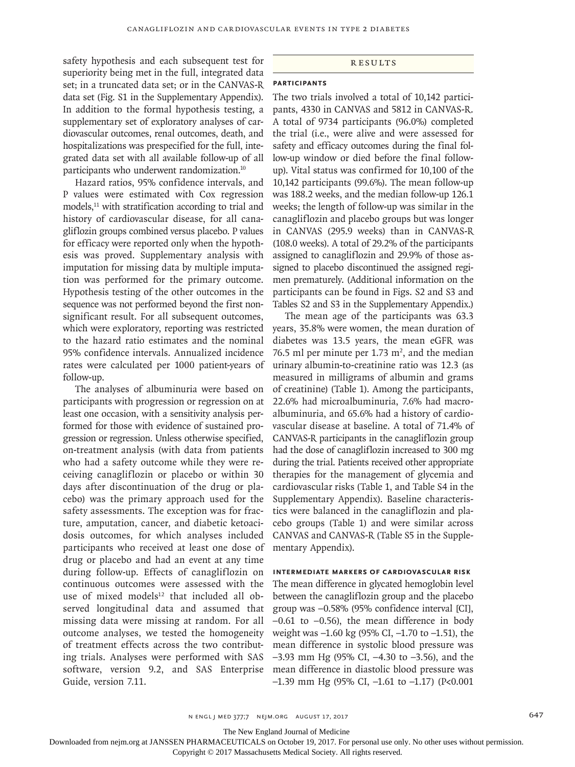safety hypothesis and each subsequent test for superiority being met in the full, integrated data set; in a truncated data set; or in the CANVAS-R data set (Fig. S1 in the Supplementary Appendix). In addition to the formal hypothesis testing, a supplementary set of exploratory analyses of cardiovascular outcomes, renal outcomes, death, and hospitalizations was prespecified for the full, integrated data set with all available follow-up of all participants who underwent randomization.<sup>10</sup>

Hazard ratios, 95% confidence intervals, and P values were estimated with Cox regression models, $11$  with stratification according to trial and history of cardiovascular disease, for all canagliflozin groups combined versus placebo. P values for efficacy were reported only when the hypothesis was proved. Supplementary analysis with imputation for missing data by multiple imputation was performed for the primary outcome. Hypothesis testing of the other outcomes in the sequence was not performed beyond the first nonsignificant result. For all subsequent outcomes, which were exploratory, reporting was restricted to the hazard ratio estimates and the nominal 95% confidence intervals. Annualized incidence rates were calculated per 1000 patient-years of follow-up.

The analyses of albuminuria were based on participants with progression or regression on at least one occasion, with a sensitivity analysis performed for those with evidence of sustained progression or regression. Unless otherwise specified, on-treatment analysis (with data from patients who had a safety outcome while they were receiving canagliflozin or placebo or within 30 days after discontinuation of the drug or placebo) was the primary approach used for the safety assessments. The exception was for fracture, amputation, cancer, and diabetic ketoacidosis outcomes, for which analyses included participants who received at least one dose of drug or placebo and had an event at any time during follow-up. Effects of canagliflozin on continuous outcomes were assessed with the use of mixed models<sup>12</sup> that included all observed longitudinal data and assumed that missing data were missing at random. For all outcome analyses, we tested the homogeneity of treatment effects across the two contributing trials. Analyses were performed with SAS software, version 9.2, and SAS Enterprise Guide, version 7.11.

#### Results

# **Participants**

The two trials involved a total of 10,142 participants, 4330 in CANVAS and 5812 in CANVAS-R. A total of 9734 participants (96.0%) completed the trial (i.e., were alive and were assessed for safety and efficacy outcomes during the final follow-up window or died before the final followup). Vital status was confirmed for 10,100 of the 10,142 participants (99.6%). The mean follow-up was 188.2 weeks, and the median follow-up 126.1 weeks; the length of follow-up was similar in the canagliflozin and placebo groups but was longer in CANVAS (295.9 weeks) than in CANVAS-R (108.0 weeks). A total of 29.2% of the participants assigned to canagliflozin and 29.9% of those assigned to placebo discontinued the assigned regimen prematurely. (Additional information on the participants can be found in Figs. S2 and S3 and Tables S2 and S3 in the Supplementary Appendix.)

The mean age of the participants was 63.3 years, 35.8% were women, the mean duration of diabetes was 13.5 years, the mean eGFR was 76.5 ml per minute per 1.73  $m^2$ , and the median urinary albumin-to-creatinine ratio was 12.3 (as measured in milligrams of albumin and grams of creatinine) (Table 1). Among the participants, 22.6% had microalbuminuria, 7.6% had macroalbuminuria, and 65.6% had a history of cardiovascular disease at baseline. A total of 71.4% of CANVAS-R participants in the canagliflozin group had the dose of canagliflozin increased to 300 mg during the trial. Patients received other appropriate therapies for the management of glycemia and cardiovascular risks (Table 1, and Table S4 in the Supplementary Appendix). Baseline characteristics were balanced in the canagliflozin and placebo groups (Table 1) and were similar across CANVAS and CANVAS-R (Table S5 in the Supplementary Appendix).

#### **Intermediate Markers of Cardiovascular Risk**

The mean difference in glycated hemoglobin level between the canagliflozin group and the placebo group was –0.58% (95% confidence interval [CI],  $-0.61$  to  $-0.56$ ), the mean difference in body weight was –1.60 kg (95% CI, –1.70 to –1.51), the mean difference in systolic blood pressure was –3.93 mm Hg (95% CI, –4.30 to –3.56), and the mean difference in diastolic blood pressure was  $-1.39$  mm Hg (95% CI,  $-1.61$  to  $-1.17$ ) (P<0.001

The New England Journal of Medicine

Downloaded from nejm.org at JANSSEN PHARMACEUTICALS on October 19, 2017. For personal use only. No other uses without permission.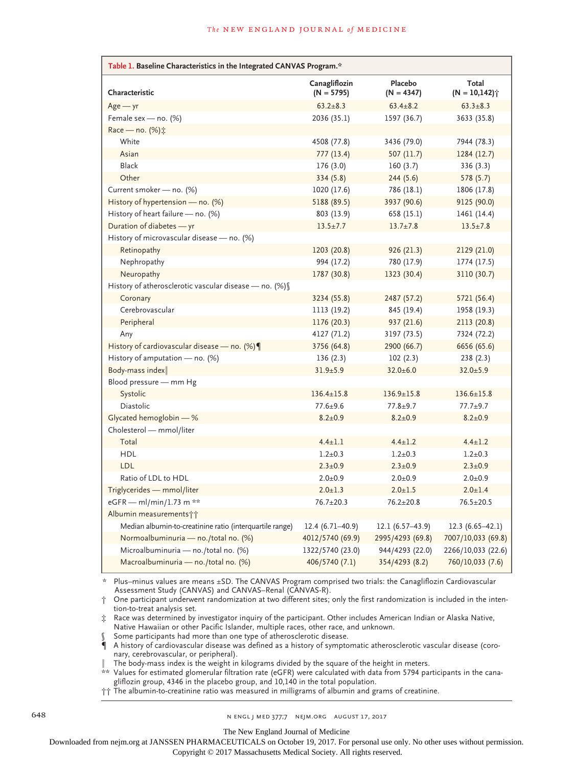| Table 1. Baseline Characteristics in the Integrated CANVAS Program.* |                               |                         |                         |  |  |
|----------------------------------------------------------------------|-------------------------------|-------------------------|-------------------------|--|--|
| Characteristic                                                       | Canagliflozin<br>$(N = 5795)$ | Placebo<br>$(N = 4347)$ | Total<br>$(N = 10,142)$ |  |  |
| $Age - yr$                                                           | $63.2 \pm 8.3$                | $63.4 \pm 8.2$          | $63.3 \pm 8.3$          |  |  |
| Female sex - no. $(\%)$                                              | 2036 (35.1)                   | 1597 (36.7)             | 3633 (35.8)             |  |  |
| Race — no. $(\%)$ :                                                  |                               |                         |                         |  |  |
| White                                                                | 4508 (77.8)                   | 3436 (79.0)             | 7944 (78.3)             |  |  |
| Asian                                                                | 777(13.4)                     | 507(11.7)               | 1284 (12.7)             |  |  |
| Black                                                                | 176(3.0)                      | 160(3.7)                | 336 (3.3)               |  |  |
| Other                                                                | 334(5.8)                      | 244(5.6)                | 578 (5.7)               |  |  |
| Current smoker - no. (%)                                             | 1020 (17.6)                   | 786 (18.1)              | 1806 (17.8)             |  |  |
| History of hypertension - no. (%)                                    | 5188 (89.5)                   | 3937 (90.6)             | 9125 (90.0)             |  |  |
| History of heart failure - no. (%)                                   | 803 (13.9)                    | 658 (15.1)              | 1461 (14.4)             |  |  |
| Duration of diabetes - yr                                            | $13.5 \pm 7.7$                | $13.7 \pm 7.8$          | $13.5 \pm 7.8$          |  |  |
| History of microvascular disease - no. (%)                           |                               |                         |                         |  |  |
| Retinopathy                                                          | 1203 (20.8)                   | 926 (21.3)              | 2129 (21.0)             |  |  |
| Nephropathy                                                          | 994 (17.2)                    | 780 (17.9)              | 1774 (17.5)             |  |  |
| Neuropathy                                                           | 1787 (30.8)                   | 1323 (30.4)             | 3110 (30.7)             |  |  |
| History of atherosclerotic vascular disease - no. (%) [              |                               |                         |                         |  |  |
| Coronary                                                             | 3234 (55.8)                   | 2487 (57.2)             | 5721 (56.4)             |  |  |
| Cerebrovascular                                                      | 1113 (19.2)                   | 845 (19.4)              | 1958 (19.3)             |  |  |
| Peripheral                                                           | 1176 (20.3)                   | 937 (21.6)              | 2113 (20.8)             |  |  |
| Any                                                                  | 4127 (71.2)                   | 3197 (73.5)             | 7324 (72.2)             |  |  |
| History of cardiovascular disease — no. $(\%) \P$                    | 3756 (64.8)                   | 2900 (66.7)             | 6656 (65.6)             |  |  |
| History of amputation - no. (%)                                      | 136(2.3)                      | 102(2.3)                | 238(2.3)                |  |  |
| Body-mass index                                                      | $31.9 \pm 5.9$                | $32.0 \pm 6.0$          | $32.0 + 5.9$            |  |  |
| Blood pressure — mm Hg                                               |                               |                         |                         |  |  |
| Systolic                                                             | $136.4 \pm 15.8$              | $136.9 \pm 15.8$        | $136.6 \pm 15.8$        |  |  |
| Diastolic                                                            | $77.6 + 9.6$                  | $77.8 + 9.7$            | $77.7 + 9.7$            |  |  |
| Glycated hemoglobin - %                                              | $8.2 \pm 0.9$                 | $8.2 \pm 0.9$           | $8.2 \pm 0.9$           |  |  |
| Cholesterol - mmol/liter                                             |                               |                         |                         |  |  |
| Total                                                                | $4.4 \pm 1.1$                 | $4.4 \pm 1.2$           | $4.4 \pm 1.2$           |  |  |
| <b>HDL</b>                                                           | $1.2 \pm 0.3$                 | $1.2 \pm 0.3$           | $1.2 \pm 0.3$           |  |  |
| LDL                                                                  | $2.3 \pm 0.9$                 | $2.3 \pm 0.9$           | $2.3 \pm 0.9$           |  |  |
| Ratio of LDL to HDL                                                  | $2.0 + 0.9$                   | $2.0 \pm 0.9$           | $2.0 + 0.9$             |  |  |
| Triglycerides - mmol/liter                                           | $2.0 \pm 1.3$                 | $2.0 \pm 1.5$           | $2.0 \pm 1.4$           |  |  |
| eGFR - ml/min/1.73 m <sup>2**</sup>                                  | $76.7 \pm 20.3$               | $76.2 \pm 20.8$         | $76.5 \pm 20.5$         |  |  |
| Albumin measurements††                                               |                               |                         |                         |  |  |
| Median albumin-to-creatinine ratio (interquartile range)             | $12.4(6.71-40.9)$             | $12.1(6.57-43.9)$       | $12.3(6.65-42.1)$       |  |  |
| Normoalbuminuria - no./total no. (%)                                 | 4012/5740 (69.9)              | 2995/4293 (69.8)        | 7007/10,033 (69.8)      |  |  |
| Microalbuminuria - no./total no. (%)                                 | 1322/5740 (23.0)              | 944/4293 (22.0)         | 2266/10,033 (22.6)      |  |  |
| Macroalbuminuria - no./total no. (%)                                 | 406/5740 (7.1)                | 354/4293 (8.2)          | 760/10,033 (7.6)        |  |  |

Plus–minus values are means ±SD. The CANVAS Program comprised two trials: the Canagliflozin Cardiovascular Assessment Study (CANVAS) and CANVAS–Renal (CANVAS-R).

† One participant underwent randomization at two different sites; only the first randomization is included in the intention-to-treat analysis set.

‡ Race was determined by investigator inquiry of the participant. Other includes American Indian or Alaska Native, Native Hawaiian or other Pacific Islander, multiple races, other race, and unknown.

Some participants had more than one type of atherosclerotic disease.

¶ A history of cardiovascular disease was defined as a history of symptomatic atherosclerotic vascular disease (coronary, cerebrovascular, or peripheral).

The body-mass index is the weight in kilograms divided by the square of the height in meters.

\*\* Values for estimated glomerular filtration rate (eGFR) were calculated with data from 5794 participants in the canagliflozin group, 4346 in the placebo group, and 10,140 in the total population.

†† The albumin-to-creatinine ratio was measured in milligrams of albumin and grams of creatinine.

648 n engl j med 377;7 nejm.org August 17, 2017

The New England Journal of Medicine

Downloaded from nejm.org at JANSSEN PHARMACEUTICALS on October 19, 2017. For personal use only. No other uses without permission.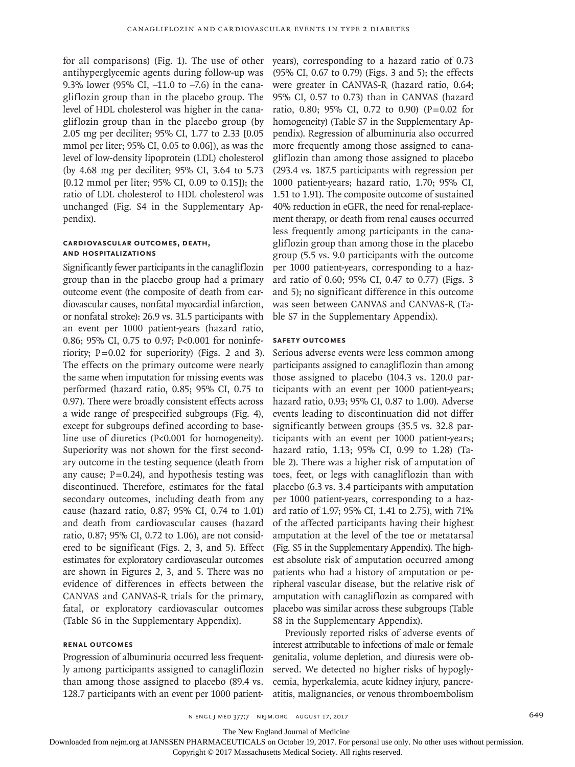for all comparisons) (Fig. 1). The use of other antihyperglycemic agents during follow-up was 9.3% lower (95% CI, –11.0 to –7.6) in the canagliflozin group than in the placebo group. The level of HDL cholesterol was higher in the canagliflozin group than in the placebo group (by 2.05 mg per deciliter; 95% CI, 1.77 to 2.33 [0.05 mmol per liter; 95% CI, 0.05 to 0.06]), as was the level of low-density lipoprotein (LDL) cholesterol (by 4.68 mg per deciliter; 95% CI, 3.64 to 5.73 [0.12 mmol per liter; 95% CI, 0.09 to 0.15]); the ratio of LDL cholesterol to HDL cholesterol was unchanged (Fig. S4 in the Supplementary Appendix).

# **Cardiovascular Outcomes, Death, and Hospitalizations**

Significantly fewer participants in the canagliflozin group than in the placebo group had a primary outcome event (the composite of death from cardiovascular causes, nonfatal myocardial infarction, or nonfatal stroke): 26.9 vs. 31.5 participants with an event per 1000 patient-years (hazard ratio, 0.86; 95% CI, 0.75 to 0.97; P<0.001 for noninferiority;  $P=0.02$  for superiority) (Figs. 2 and 3). The effects on the primary outcome were nearly the same when imputation for missing events was performed (hazard ratio, 0.85; 95% CI, 0.75 to 0.97). There were broadly consistent effects across a wide range of prespecified subgroups (Fig. 4), except for subgroups defined according to baseline use of diuretics (P<0.001 for homogeneity). Superiority was not shown for the first secondary outcome in the testing sequence (death from any cause;  $P=0.24$ ), and hypothesis testing was discontinued. Therefore, estimates for the fatal secondary outcomes, including death from any cause (hazard ratio, 0.87; 95% CI, 0.74 to 1.01) and death from cardiovascular causes (hazard ratio, 0.87; 95% CI, 0.72 to 1.06), are not considered to be significant (Figs. 2, 3, and 5). Effect estimates for exploratory cardiovascular outcomes are shown in Figures 2, 3, and 5. There was no evidence of differences in effects between the CANVAS and CANVAS-R trials for the primary, fatal, or exploratory cardiovascular outcomes (Table S6 in the Supplementary Appendix).

#### **Renal Outcomes**

Progression of albuminuria occurred less frequently among participants assigned to canagliflozin than among those assigned to placebo (89.4 vs. 128.7 participants with an event per 1000 patientyears), corresponding to a hazard ratio of 0.73 (95% CI, 0.67 to 0.79) (Figs. 3 and 5); the effects were greater in CANVAS-R (hazard ratio, 0.64; 95% CI, 0.57 to 0.73) than in CANVAS (hazard ratio, 0.80; 95% CI, 0.72 to 0.90) (P=0.02 for homogeneity) (Table S7 in the Supplementary Appendix). Regression of albuminuria also occurred more frequently among those assigned to canagliflozin than among those assigned to placebo (293.4 vs. 187.5 participants with regression per 1000 patient-years; hazard ratio, 1.70; 95% CI, 1.51 to 1.91). The composite outcome of sustained 40% reduction in eGFR, the need for renal-replacement therapy, or death from renal causes occurred less frequently among participants in the canagliflozin group than among those in the placebo group (5.5 vs. 9.0 participants with the outcome per 1000 patient-years, corresponding to a hazard ratio of 0.60; 95% CI, 0.47 to 0.77) (Figs. 3 and 5); no significant difference in this outcome was seen between CANVAS and CANVAS-R (Table S7 in the Supplementary Appendix).

#### **Safety Outcomes**

Serious adverse events were less common among participants assigned to canagliflozin than among those assigned to placebo (104.3 vs. 120.0 participants with an event per 1000 patient-years; hazard ratio, 0.93; 95% CI, 0.87 to 1.00). Adverse events leading to discontinuation did not differ significantly between groups (35.5 vs. 32.8 participants with an event per 1000 patient-years; hazard ratio, 1.13; 95% CI, 0.99 to 1.28) (Table 2). There was a higher risk of amputation of toes, feet, or legs with canagliflozin than with placebo (6.3 vs. 3.4 participants with amputation per 1000 patient-years, corresponding to a hazard ratio of 1.97; 95% CI, 1.41 to 2.75), with 71% of the affected participants having their highest amputation at the level of the toe or metatarsal (Fig. S5 in the Supplementary Appendix). The highest absolute risk of amputation occurred among patients who had a history of amputation or peripheral vascular disease, but the relative risk of amputation with canagliflozin as compared with placebo was similar across these subgroups (Table S8 in the Supplementary Appendix).

Previously reported risks of adverse events of interest attributable to infections of male or female genitalia, volume depletion, and diuresis were observed. We detected no higher risks of hypoglycemia, hyperkalemia, acute kidney injury, pancreatitis, malignancies, or venous thromboembolism

The New England Journal of Medicine

Downloaded from nejm.org at JANSSEN PHARMACEUTICALS on October 19, 2017. For personal use only. No other uses without permission.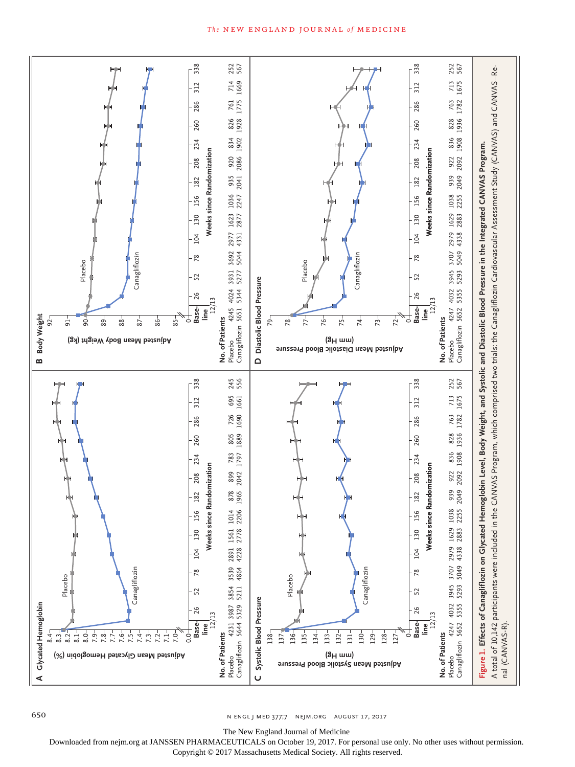



650 n engl j med 377;7 nejm.org August 17, 2017

The New England Journal of Medicine

Downloaded from nejm.org at JANSSEN PHARMACEUTICALS on October 19, 2017. For personal use only. No other uses without permission.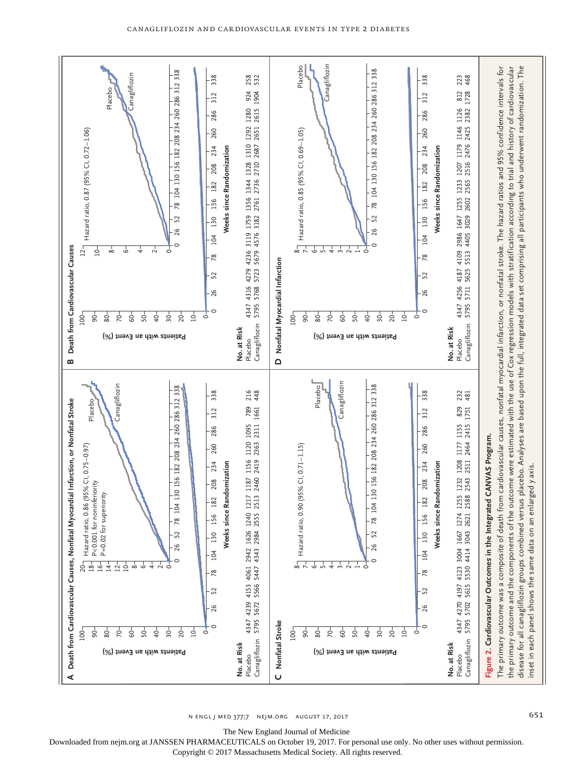

n engl j med 377;7 nejm.org August 17, 2017 651

The New England Journal of Medicine

Downloaded from nejm.org at JANSSEN PHARMACEUTICALS on October 19, 2017. For personal use only. No other uses without permission.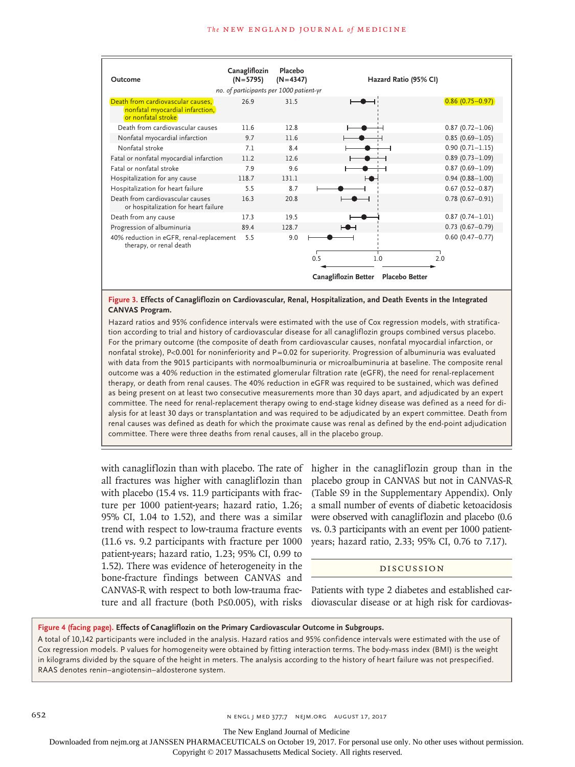| Outcome                                                                                    | Canagliflozin<br>$(N=5795)$             | Placebo<br>$(N=4347)$ | Hazard Ratio (95% CI)                         |                            |
|--------------------------------------------------------------------------------------------|-----------------------------------------|-----------------------|-----------------------------------------------|----------------------------|
|                                                                                            | no. of participants per 1000 patient-yr |                       |                                               |                            |
| Death from cardiovascular causes.<br>nonfatal myocardial infarction,<br>or nonfatal stroke | 26.9                                    | 31.5                  |                                               | $0.86(0.75 - 0.97)$        |
| Death from cardiovascular causes                                                           | 11.6                                    | 12.8                  |                                               | $0.87(0.72 - 1.06)$        |
| Nonfatal myocardial infarction                                                             | 9.7                                     | 11.6                  |                                               | $0.85(0.69 - 1.05)$        |
| Nonfatal stroke                                                                            | 7.1                                     | 8.4                   |                                               | $0.90(0.71 - 1.15)$        |
| Fatal or nonfatal myocardial infarction                                                    | 11.2                                    | 12.6                  |                                               | $0.89(0.73 - 1.09)$        |
| Fatal or nonfatal stroke                                                                   | 7.9                                     | 9.6                   |                                               | $0.87(0.69 - 1.09)$        |
| Hospitalization for any cause                                                              | 118.7                                   | 131.1                 |                                               | $0.94(0.88 - 1.00)$        |
| Hospitalization for heart failure                                                          | 5.5                                     | 8.7                   |                                               | $0.67(0.52 - 0.87)$        |
| Death from cardiovascular causes<br>or hospitalization for heart failure                   | 16.3                                    | 20.8                  |                                               | $0.78(0.67 - 0.91)$        |
| Death from any cause                                                                       | 17.3                                    | 19.5                  |                                               | $0.87(0.74 - 1.01)$        |
| Progression of albuminuria                                                                 | 89.4                                    | 128.7                 |                                               | $0.73$ $(0.67 - 0.79)$     |
| 40% reduction in eGFR, renal-replacement<br>therapy, or renal death                        | 5.5                                     | 9.0                   | 0.5<br>1.0                                    | $0.60(0.47 - 0.77)$<br>2.0 |
|                                                                                            |                                         |                       | Canagliflozin Better<br><b>Placebo Better</b> |                            |

#### **Figure 3. Effects of Canagliflozin on Cardiovascular, Renal, Hospitalization, and Death Events in the Integrated CANVAS Program.**

Hazard ratios and 95% confidence intervals were estimated with the use of Cox regression models, with stratification according to trial and history of cardiovascular disease for all canagliflozin groups combined versus placebo. For the primary outcome (the composite of death from cardiovascular causes, nonfatal myocardial infarction, or nonfatal stroke), P<0.001 for noninferiority and P=0.02 for superiority. Progression of albuminuria was evaluated with data from the 9015 participants with normoalbuminuria or microalbuminuria at baseline. The composite renal outcome was a 40% reduction in the estimated glomerular filtration rate (eGFR), the need for renal-replacement therapy, or death from renal causes. The 40% reduction in eGFR was required to be sustained, which was defined as being present on at least two consecutive measurements more than 30 days apart, and adjudicated by an expert committee. The need for renal-replacement therapy owing to end-stage kidney disease was defined as a need for dialysis for at least 30 days or transplantation and was required to be adjudicated by an expert committee. Death from renal causes was defined as death for which the proximate cause was renal as defined by the end-point adjudication committee. There were three deaths from renal causes, all in the placebo group.

with canagliflozin than with placebo. The rate of all fractures was higher with canagliflozin than with placebo (15.4 vs. 11.9 participants with fracture per 1000 patient-years; hazard ratio, 1.26; 95% CI, 1.04 to 1.52), and there was a similar trend with respect to low-trauma fracture events (11.6 vs. 9.2 participants with fracture per 1000 patient-years; hazard ratio, 1.23; 95% CI, 0.99 to 1.52). There was evidence of heterogeneity in the bone-fracture findings between CANVAS and CANVAS-R with respect to both low-trauma fracture and all fracture (both P≤0.005), with risks

higher in the canagliflozin group than in the placebo group in CANVAS but not in CANVAS-R (Table S9 in the Supplementary Appendix). Only a small number of events of diabetic ketoacidosis were observed with canagliflozin and placebo (0.6 vs. 0.3 participants with an event per 1000 patientyears; hazard ratio, 2.33; 95% CI, 0.76 to 7.17).

# Discussion

Patients with type 2 diabetes and established cardiovascular disease or at high risk for cardiovas-

# **Figure 4 (facing page). Effects of Canagliflozin on the Primary Cardiovascular Outcome in Subgroups.**

A total of 10,142 participants were included in the analysis. Hazard ratios and 95% confidence intervals were estimated with the use of Cox regression models. P values for homogeneity were obtained by fitting interaction terms. The body-mass index (BMI) is the weight in kilograms divided by the square of the height in meters. The analysis according to the history of heart failure was not prespecified. RAAS denotes renin–angiotensin–aldosterone system.

The New England Journal of Medicine

Downloaded from nejm.org at JANSSEN PHARMACEUTICALS on October 19, 2017. For personal use only. No other uses without permission.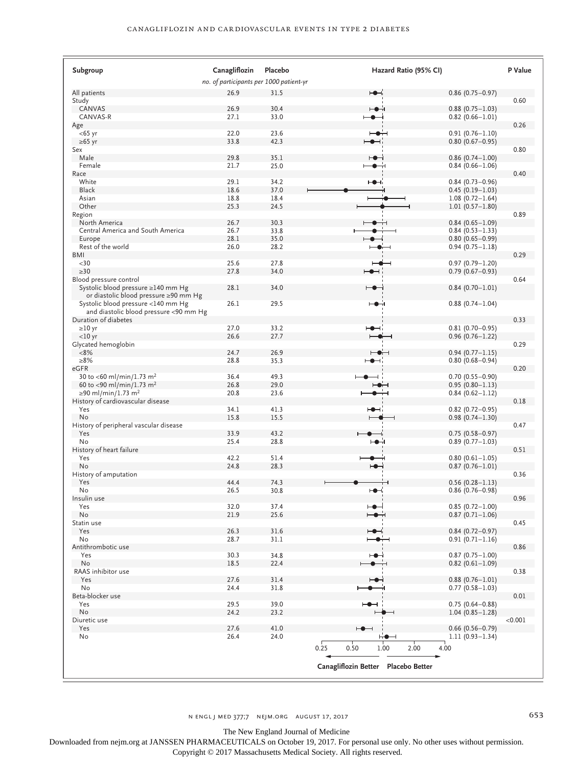| Subgroup                                                                     | Canagliflozin                           | Placebo      | Hazard Ratio (95% CI)                                             | P Value |
|------------------------------------------------------------------------------|-----------------------------------------|--------------|-------------------------------------------------------------------|---------|
|                                                                              | no. of participants per 1000 patient-yr |              |                                                                   |         |
| All patients                                                                 | 26.9                                    | 31.5         | ⊢●⊣i<br>$0.86$ (0.75 - 0.97)                                      |         |
| Study                                                                        |                                         |              |                                                                   | 0.60    |
| CANVAS                                                                       | 26.9                                    | 30.4         | ⊢●⊣<br>$0.88(0.75 - 1.03)$                                        |         |
| CANVAS-R                                                                     | 27.1                                    | 33.0         | $\overline{\phantom{a}}$<br>$0.82(0.66 - 1.01)$                   |         |
| Age                                                                          |                                         |              |                                                                   | 0.26    |
| $<$ 65 yr                                                                    | 22.0                                    | 23.6         | ⊢●⊣<br>$0.91(0.76 - 1.10)$                                        |         |
| $\geq 65$ yr                                                                 | 33.8                                    | 42.3         | $0.80(0.67 - 0.95)$<br>⊢●⊣                                        |         |
| Sex                                                                          |                                         |              |                                                                   | 0.80    |
| Male<br>Female                                                               | 29.8<br>21.7                            | 35.1<br>25.0 | ⊢⊕⊣<br>$0.86(0.74 - 1.00)$<br>$\overline{\phantom{a}}$            |         |
| Race                                                                         |                                         |              | $0.84(0.66 - 1.06)$                                               | 0.40    |
| White                                                                        | 29.1                                    | 34.2         | ⊢●⊣<br>$0.84(0.73 - 0.96)$                                        |         |
| Black                                                                        | 18.6                                    | 37.0         | $0.45(0.19-1.03)$                                                 |         |
| Asian                                                                        | 18.8                                    | 18.4         | $1.08(0.72 - 1.64)$                                               |         |
| Other                                                                        | 25.3                                    | 24.5         | $1.01(0.57 - 1.80)$                                               |         |
| Region                                                                       |                                         |              |                                                                   | 0.89    |
| North America                                                                | 26.7                                    | 30.3         | $0.84(0.65 - 1.09)$                                               |         |
| Central America and South America                                            | 26.7                                    | 33.8         | $0.84(0.53 - 1.33)$                                               |         |
| Europe                                                                       | 28.1                                    | 35.0         | $0.80(0.65 - 0.99)$                                               |         |
| Rest of the world                                                            | 26.0                                    | 28.2         | $0.94(0.75 - 1.18)$                                               |         |
| <b>BMI</b>                                                                   |                                         |              |                                                                   | 0.29    |
| $30$                                                                         | 25.6                                    | 27.8         | $0.97(0.79 - 1.20)$                                               |         |
| $\geq$ 30                                                                    | 27.8                                    | 34.0         | $0.79(0.67 - 0.93)$<br>⊷⊣                                         |         |
| Blood pressure control                                                       |                                         |              |                                                                   | 0.64    |
| Systolic blood pressure ≥140 mm Hg<br>or diastolic blood pressure ≥90 mm Hg  | 28.1                                    | 34.0         | ⊢●⊣<br>$0.84(0.70 - 1.01)$                                        |         |
| Systolic blood pressure <140 mm Hg<br>and diastolic blood pressure <90 mm Hg | 26.1                                    | 29.5         | ⊢●⊣<br>$0.88(0.74 - 1.04)$                                        |         |
| Duration of diabetes                                                         |                                         |              |                                                                   | 0.33    |
| $\geq$ 10 yr                                                                 | 27.0                                    | 33.2         | HO⊣i<br>$0.81(0.70 - 0.95)$                                       |         |
| $<$ 10 yr                                                                    | 26.6                                    | 27.7         | $0.96(0.76 - 1.22)$                                               |         |
| Glycated hemoglobin                                                          |                                         |              |                                                                   | 0.29    |
| $< 8\%$                                                                      | 24.7                                    | 26.9         | $0.94(0.77 - 1.15)$                                               |         |
| $\geq 8\%$                                                                   | 28.8                                    | 35.3         | $0.80(0.68 - 0.94)$<br>$\blacktriangleright$                      |         |
| eGFR                                                                         |                                         | 49.3         |                                                                   | 0.20    |
| 30 to <60 ml/min/1.73 m <sup>2</sup><br>60 to <90 ml/min/1.73 m <sup>2</sup> | 36.4<br>26.8                            | 29.0         | $0.70(0.55 - 0.90)$<br>$0.95(0.80 - 1.13)$<br>⊢●⊣                 |         |
| ≥90 ml/min/1.73 m <sup>2</sup>                                               | 20.8                                    | 23.6         | $0.84(0.62 - 1.12)$                                               |         |
| History of cardiovascular disease                                            |                                         |              |                                                                   | 0.18    |
| Yes                                                                          | 34.1                                    | 41.3         | $0.82$ (0.72-0.95)<br>⊷                                           |         |
| No                                                                           | 15.8                                    | 15.5         | $0.98(0.74 - 1.30)$                                               |         |
| History of peripheral vascular disease                                       |                                         |              |                                                                   | 0.47    |
| Yes                                                                          | 33.9                                    | 43.2         | $0.75(0.58 - 0.97)$                                               |         |
| No                                                                           | 25.4                                    | 28.8         | $0.89(0.77 - 1.03)$                                               |         |
| History of heart failure                                                     |                                         |              |                                                                   | 0.51    |
| Yes                                                                          | 42.2                                    | 51.4         | $0.80(0.61 - 1.05)$                                               |         |
| No                                                                           | 24.8                                    | 28.3         | $0.87(0.76 - 1.01)$<br>⊷                                          |         |
| History of amputation                                                        |                                         |              |                                                                   | 0.36    |
| Yes                                                                          | 44.4                                    | 74.3         | $0.56(0.28 - 1.13)$                                               |         |
| No                                                                           | 26.5                                    | 30.8         | $0.86(0.76 - 0.98)$<br>⊷                                          | 0.96    |
| Insulin use<br>Yes                                                           | 32.0                                    | 37.4         | $0.85(0.72 - 1.00)$<br>⊢●⊢                                        |         |
| No                                                                           |                                         |              | $0.87(0.71 - 1.06)$                                               |         |
| Statin use                                                                   | 21.9                                    | 25.6         | $\bullet$ $\dashv$                                                | 0.45    |
| Yes                                                                          | 26.3                                    | 31.6         | $0.84(0.72 - 0.97)$<br>⊢⊕⊣i                                       |         |
| No                                                                           | 28.7                                    | 31.1         | $0.91(0.71 - 1.16)$<br>$\bullet$ $\hspace{0.1cm}\dashv$           |         |
| Antithrombotic use                                                           |                                         |              |                                                                   | 0.86    |
| Yes                                                                          | 30.3                                    | 34.8         | $0.87(0.75 - 1.00)$<br>⊷⊣                                         |         |
| No                                                                           | 18.5                                    | 22.4         | $0.82$ (0.61-1.09)                                                |         |
| RAAS inhibitor use                                                           |                                         |              |                                                                   | 0.38    |
| Yes                                                                          | 27.6                                    | 31.4         | $0.88(0.76 - 1.01)$<br>⊢●⊣                                        |         |
| No                                                                           | 24.4                                    | 31.8         | $0.77(0.58 - 1.03)$                                               |         |
| Beta-blocker use                                                             |                                         |              |                                                                   | 0.01    |
| Yes                                                                          | 29.5                                    | 39.0         | $0.75(0.64 - 0.88)$<br>⊢●⊣                                        |         |
| No                                                                           | 24.2                                    | 23.2         | $1.04(0.85 - 1.28)$                                               |         |
| Diuretic use                                                                 |                                         |              |                                                                   | < 0.001 |
| Yes                                                                          | 27.6                                    | 41.0         | $\overline{\phantom{a}}$<br>$0.66$ (0.56-0.79)                    |         |
| No                                                                           | 26.4                                    | 24.0         | ⊢⊷<br>$1.11(0.93 - 1.34)$<br>0.25<br>2.00<br>0.50<br>1.00<br>4.00 |         |
|                                                                              |                                         |              |                                                                   |         |
|                                                                              |                                         |              | Canagliflozin Better Placebo Better                               |         |

n engl j med 377;7 nejm.org August 17, 2017 653

The New England Journal of Medicine

Downloaded from nejm.org at JANSSEN PHARMACEUTICALS on October 19, 2017. For personal use only. No other uses without permission.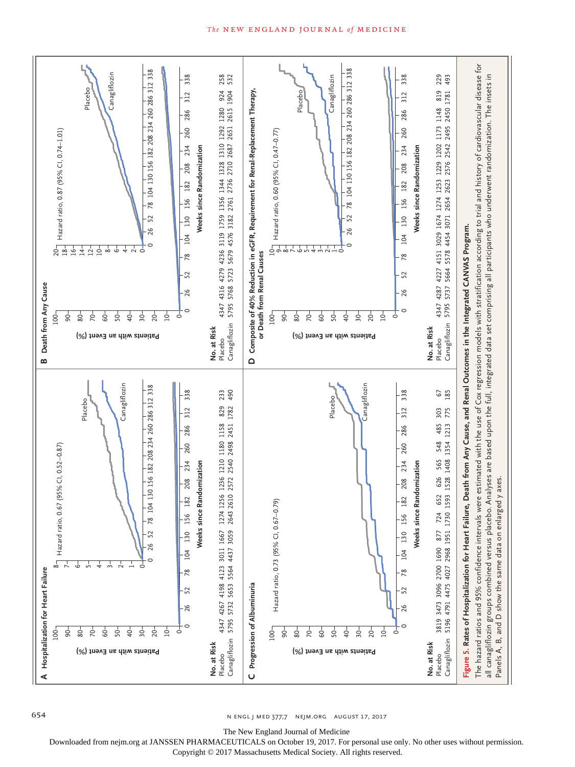

n engl j med 377;7 nejm.org August 17, 2017

The New England Journal of Medicine

Downloaded from nejm.org at JANSSEN PHARMACEUTICALS on October 19, 2017. For personal use only. No other uses without permission.

Copyright © 2017 Massachusetts Medical Society. All rights reserved.

#### The NEW ENGLAND JOURNAL of MEDICINE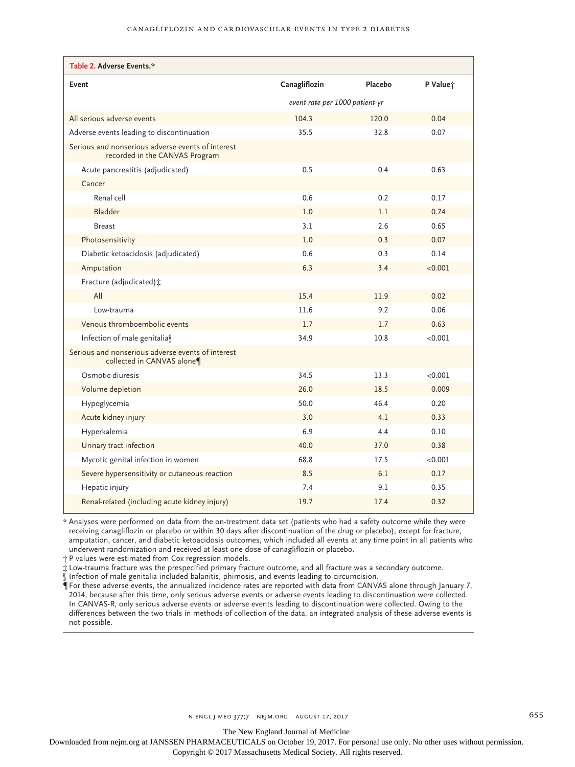| Table 2. Adverse Events.*                                                           |                                |         |          |  |
|-------------------------------------------------------------------------------------|--------------------------------|---------|----------|--|
| Event                                                                               | Canagliflozin                  | Placebo | P Value; |  |
|                                                                                     | event rate per 1000 patient-yr |         |          |  |
| All serious adverse events                                                          | 104.3                          | 120.0   | 0.04     |  |
| Adverse events leading to discontinuation                                           | 35.5                           | 32.8    | 0.07     |  |
| Serious and nonserious adverse events of interest<br>recorded in the CANVAS Program |                                |         |          |  |
| Acute pancreatitis (adjudicated)                                                    | 0.5                            | 0.4     | 0.63     |  |
| Cancer                                                                              |                                |         |          |  |
| Renal cell                                                                          | 0.6                            | 0.2     | 0.17     |  |
| Bladder                                                                             | 1.0                            | 1.1     | 0.74     |  |
| <b>Breast</b>                                                                       | 3.1                            | 2.6     | 0.65     |  |
| Photosensitivity                                                                    | 1.0                            | 0.3     | 0.07     |  |
| Diabetic ketoacidosis (adjudicated)                                                 | 0.6                            | 0.3     | 0.14     |  |
| Amputation                                                                          | 6.3                            | 3.4     | < 0.001  |  |
| Fracture (adjudicated) :                                                            |                                |         |          |  |
| All                                                                                 | 15.4                           | 11.9    | 0.02     |  |
| Low-trauma                                                                          | 11.6                           | 9.2     | 0.06     |  |
| Venous thromboembolic events                                                        | 1.7                            | 1.7     | 0.63     |  |
| Infection of male genitalias                                                        | 34.9                           | 10.8    | < 0.001  |  |
| Serious and nonserious adverse events of interest<br>collected in CANVAS alone¶     |                                |         |          |  |
| Osmotic diuresis                                                                    | 34.5                           | 13.3    | < 0.001  |  |
| Volume depletion                                                                    | 26.0                           | 18.5    | 0.009    |  |
| Hypoglycemia                                                                        | 50.0                           | 46.4    | 0.20     |  |
| Acute kidney injury                                                                 | 3.0                            | 4.1     | 0.33     |  |
| Hyperkalemia                                                                        | 6.9                            | 4.4     | 0.10     |  |
| Urinary tract infection                                                             | 40.0                           | 37.0    | 0.38     |  |
| Mycotic genital infection in women                                                  | 68.8                           | 17.5    | < 0.001  |  |
| Severe hypersensitivity or cutaneous reaction                                       | 8.5                            | 6.1     | 0.17     |  |
| Hepatic injury                                                                      | 7.4                            | 9.1     | 0.35     |  |
| Renal-related (including acute kidney injury)                                       | 19.7                           | 17.4    | 0.32     |  |

\* Analyses were performed on data from the on-treatment data set (patients who had a safety outcome while they were receiving canagliflozin or placebo or within 30 days after discontinuation of the drug or placebo), except for fracture, amputation, cancer, and diabetic ketoacidosis outcomes, which included all events at any time point in all patients who underwent randomization and received at least one dose of canagliflozin or placebo.

† P values were estimated from Cox regression models.

‡ Low-trauma fracture was the prespecified primary fracture outcome, and all fracture was a secondary outcome.

 $\tilde{\S}$  Infection of male genitalia included balanitis, phimosis, and events leading to circumcision.

¶ For these adverse events, the annualized incidence rates are reported with data from CANVAS alone through January 7, 2014, because after this time, only serious adverse events or adverse events leading to discontinuation were collected. In CANVAS-R, only serious adverse events or adverse events leading to discontinuation were collected. Owing to the differences between the two trials in methods of collection of the data, an integrated analysis of these adverse events is not possible.

The New England Journal of Medicine

Downloaded from nejm.org at JANSSEN PHARMACEUTICALS on October 19, 2017. For personal use only. No other uses without permission.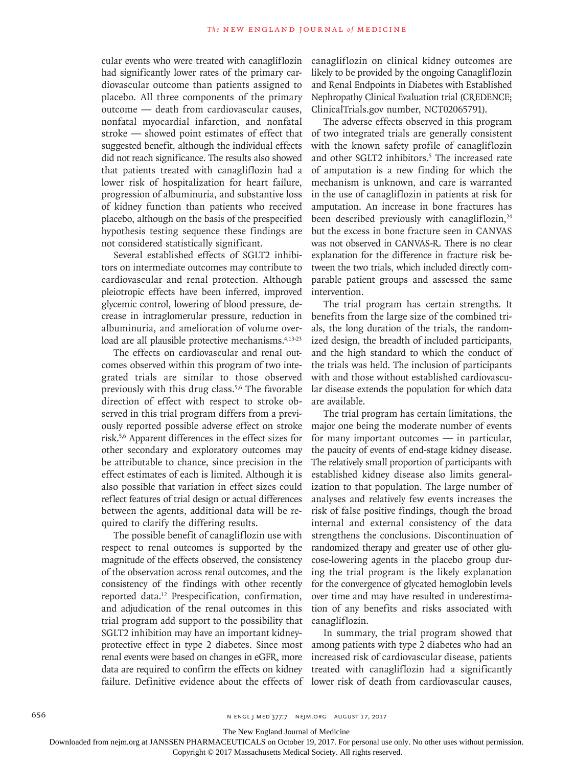cular events who were treated with canagliflozin had significantly lower rates of the primary cardiovascular outcome than patients assigned to placebo. All three components of the primary outcome — death from cardiovascular causes, nonfatal myocardial infarction, and nonfatal stroke — showed point estimates of effect that suggested benefit, although the individual effects did not reach significance. The results also showed that patients treated with canagliflozin had a lower risk of hospitalization for heart failure, progression of albuminuria, and substantive loss of kidney function than patients who received placebo, although on the basis of the prespecified hypothesis testing sequence these findings are not considered statistically significant.

Several established effects of SGLT2 inhibitors on intermediate outcomes may contribute to cardiovascular and renal protection. Although pleiotropic effects have been inferred, improved glycemic control, lowering of blood pressure, decrease in intraglomerular pressure, reduction in albuminuria, and amelioration of volume overload are all plausible protective mechanisms.<sup>4,13-23</sup>

The effects on cardiovascular and renal outcomes observed within this program of two integrated trials are similar to those observed previously with this drug class.<sup>5,6</sup> The favorable direction of effect with respect to stroke observed in this trial program differs from a previously reported possible adverse effect on stroke risk.5,6 Apparent differences in the effect sizes for other secondary and exploratory outcomes may be attributable to chance, since precision in the effect estimates of each is limited. Although it is also possible that variation in effect sizes could reflect features of trial design or actual differences between the agents, additional data will be required to clarify the differing results.

The possible benefit of canagliflozin use with respect to renal outcomes is supported by the magnitude of the effects observed, the consistency of the observation across renal outcomes, and the consistency of the findings with other recently reported data.12 Prespecification, confirmation, and adjudication of the renal outcomes in this trial program add support to the possibility that SGLT2 inhibition may have an important kidneyprotective effect in type 2 diabetes. Since most renal events were based on changes in eGFR, more data are required to confirm the effects on kidney failure. Definitive evidence about the effects of canagliflozin on clinical kidney outcomes are likely to be provided by the ongoing Canagliflozin and Renal Endpoints in Diabetes with Established Nephropathy Clinical Evaluation trial (CREDENCE; ClinicalTrials.gov number, NCT02065791).

The adverse effects observed in this program of two integrated trials are generally consistent with the known safety profile of canagliflozin and other SGLT2 inhibitors.<sup>5</sup> The increased rate of amputation is a new finding for which the mechanism is unknown, and care is warranted in the use of canagliflozin in patients at risk for amputation. An increase in bone fractures has been described previously with canagliflozin,<sup>24</sup> but the excess in bone fracture seen in CANVAS was not observed in CANVAS-R. There is no clear explanation for the difference in fracture risk between the two trials, which included directly comparable patient groups and assessed the same intervention.

The trial program has certain strengths. It benefits from the large size of the combined trials, the long duration of the trials, the randomized design, the breadth of included participants, and the high standard to which the conduct of the trials was held. The inclusion of participants with and those without established cardiovascular disease extends the population for which data are available.

The trial program has certain limitations, the major one being the moderate number of events for many important outcomes — in particular, the paucity of events of end-stage kidney disease. The relatively small proportion of participants with established kidney disease also limits generalization to that population. The large number of analyses and relatively few events increases the risk of false positive findings, though the broad internal and external consistency of the data strengthens the conclusions. Discontinuation of randomized therapy and greater use of other glucose-lowering agents in the placebo group during the trial program is the likely explanation for the convergence of glycated hemoglobin levels over time and may have resulted in underestimation of any benefits and risks associated with canagliflozin.

In summary, the trial program showed that among patients with type 2 diabetes who had an increased risk of cardiovascular disease, patients treated with canagliflozin had a significantly lower risk of death from cardiovascular causes,

The New England Journal of Medicine

Downloaded from nejm.org at JANSSEN PHARMACEUTICALS on October 19, 2017. For personal use only. No other uses without permission.